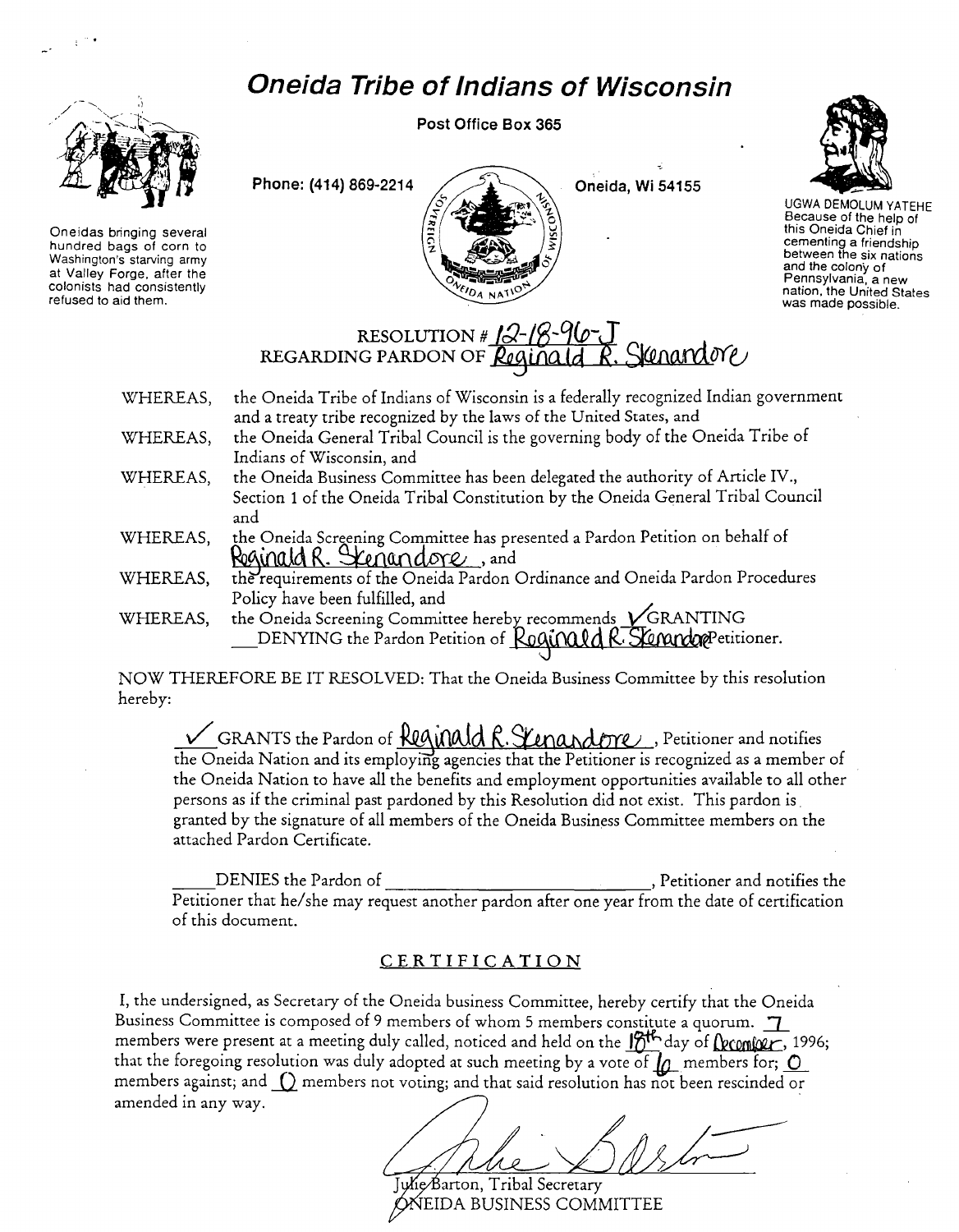## *Oneida Tribe* **of** *Indians* **of** *Wisconsin*



Oneidas bringing several hundred bags of corn to Washington's starving army at Valley Forge. after the colonists had consistently refused to aid them.

Post Office Box 365





UGWA DEMOLUM YATEHE Because of the help of this Oneida Chief in cementing a friendship between the six nations and the colony of Pennsylvania. a new nation. the United States was made possible.

## RESOLUTION # 12-18-96-J<br>REGARDING PARDON OF <u>Reginald R. Stenandore</u>

- WHEREAS, the Oneida Tribe of Indians of Wisconsin is a federally recognized Indian government and a treaty tribe recognized by the laws of the United States, and
- WHEREAS, the Oneida General Tribal Council is the governing body of the Oneida Tribe of Indians of Wisconsin, and
- WHEREAS, the Oneida Business Committee has been delegated the authority of Article IV., Section 1 of the Oneida Tribal Constitution by the Oneida General Tribal Council and
- WHEREAS, the Oneida Screening Committee has presented a Pardon Petition on behalf of Reginald R. Scenandore, and
- WHEREAS, the requirements of the Oneida Pardon Ordinance and Oneida Pardon Procedures Policy have been fulfilled, and
- WHEREAS, the Oneida Screening Committee hereby recommends  $\sqrt{\text{GRANTING}}$  $\_$ DENYING the Pardon Petition of  $\_$ Roqu $\_$ Q $\_$ R $\_$ S Emando $\alpha$ Petitioner.

NOW THEREFORE BE IT RESOLVED: That the Oneida Business Committee by this resolution hereby:

<u>CRANTS the Pardon of Regundid R. Stenandove ,</u> Petitioner and notifies ( GRANTS the Pardon of <u>Regundic R. Stenandove ,</u> Petitioner and notifies ( the Oneida Nation and its employing agencies that the Petitioner is recogn the Oneida Nation to have all the benefits and employment opportunities available to all other persons as if the criminal past pardoned by this Resolution did not exist. This pardon is . granted by the signature of all members of the Oneida Business Committee members on the attached Pardon Certificate.

DENIES the Pardon of Germany Communications of the Partitioner and notifies the Petitioner that *he/she may request another pardon after one year from the date of certification* of this document.

## CER TIFICATION

I, the undersigned, as Secretary of the Oneida business Committee, hereby certify that the Oneida Business Committee is composed of 9 members of whom 5 members constitute a quorum. members were present at a meeting duly called, noticed and held on the  $\frac{1}{2}$ th day of **(**\\\ Quanto  $\ell$ , 1996; that the foregoing resolution was duly adopted at such meeting by a vote of  $\mu$  members for;  $\underline{\mathsf{O}}$ members against; and  $\bigcirc$  members not voting; and that said resolution has not been rescinded or amended in any way. .

Julie/Barton, Tribal Secretary ONEIDA BUSINESS COMMITTEE